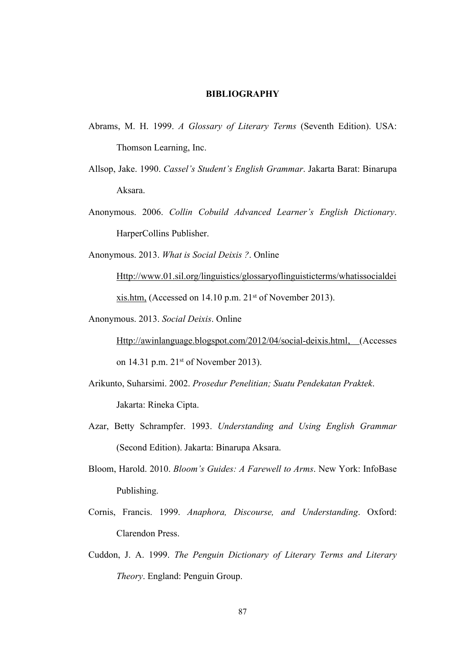## **BIBLIOGRAPHY**

- Abrams, M. H. 1999. *A Glossary of Literary Terms* (Seventh Edition). USA: Thomson Learning, Inc.
- Allsop, Jake. 1990. *Cassel's Student's English Grammar*. Jakarta Barat: Binarupa Aksara.
- Anonymous. 2006. *Collin Cobuild Advanced Learner's English Dictionary*. HarperCollins Publisher.

Anonymous. 2013. *What is Social Deixis ?*. Online

[Http://www.01.sil.org/linguistics/glossaryoflinguisticterms/whatissocialdei](Http://www.01.sil.org/linguistics/glossaryoflinguisticterms/whatissocialdeixis.htm) [xis.htm](Http://www.01.sil.org/linguistics/glossaryoflinguisticterms/whatissocialdeixis.htm), (Accessed on 14.10 p.m. 21st of November 2013).

Anonymous. 2013. *Social Deixis*. Online

<Http://awinlanguage.blogspot.com/2012/04/social-deixis.html>, (Accesses on 14.31 p.m. 21st of November 2013).

- Arikunto, Suharsimi. 2002. *Prosedur Penelitian; Suatu Pendekatan Praktek*. Jakarta: Rineka Cipta.
- Azar, Betty Schrampfer. 1993. *Understanding and Using English Grammar* (Second Edition). Jakarta: Binarupa Aksara.
- Bloom, Harold. 2010. *Bloom's Guides: A Farewell to Arms*. New York: InfoBase Publishing.
- Cornis, Francis. 1999. *Anaphora, Discourse, and Understanding*. Oxford: Clarendon Press.
- Cuddon, J. A. 1999. *The Penguin Dictionary of Literary Terms and Literary Theory*. England: Penguin Group.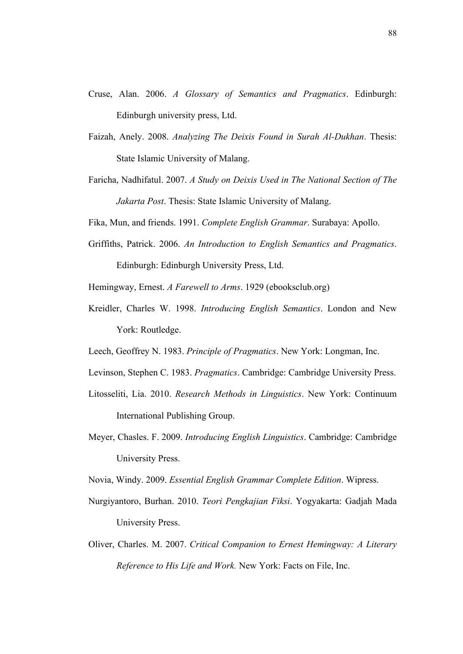- Cruse, Alan. 2006. *A Glossary of Semantics and Pragmatics*. Edinburgh: Edinburgh university press, Ltd.
- Faizah, Anely. 2008. *Analyzing The Deixis Found in Surah Al-Dukhan*. Thesis: State Islamic University of Malang.
- Faricha, Nadhifatul. 2007. *A Study on Deixis Used in The National Section of The Jakarta Post*. Thesis: State Islamic University of Malang.

Fika, Mun, and friends. 1991. *Complete English Grammar*. Surabaya: Apollo.

Griffiths, Patrick. 2006. *An Introduction to English Semantics and Pragmatics*. Edinburgh: Edinburgh University Press, Ltd.

Hemingway, Ernest. *A Farewell to Arms*. 1929 (ebooksclub.org)

Kreidler, Charles W. 1998. *Introducing English Semantics*. London and New York: Routledge.

Leech, Geoffrey N. 1983. *Principle of Pragmatics*. New York: Longman, Inc.

- Levinson, Stephen C. 1983. *Pragmatics*. Cambridge: Cambridge University Press.
- Litosseliti, Lia. 2010. *Research Methods in Linguistics*. New York: Continuum International Publishing Group.
- Meyer, Chasles. F. 2009. *Introducing English Linguistics*. Cambridge: Cambridge University Press.

Novia, Windy. 2009. *Essential English Grammar Complete Edition*. Wipress.

- Nurgiyantoro, Burhan. 2010. *Teori Pengkajian Fiksi*. Yogyakarta: Gadjah Mada University Press.
- Oliver, Charles. M. 2007. *Critical Companion to Ernest Hemingway: A Literary Reference to His Life and Work.* New York: Facts on File, Inc.